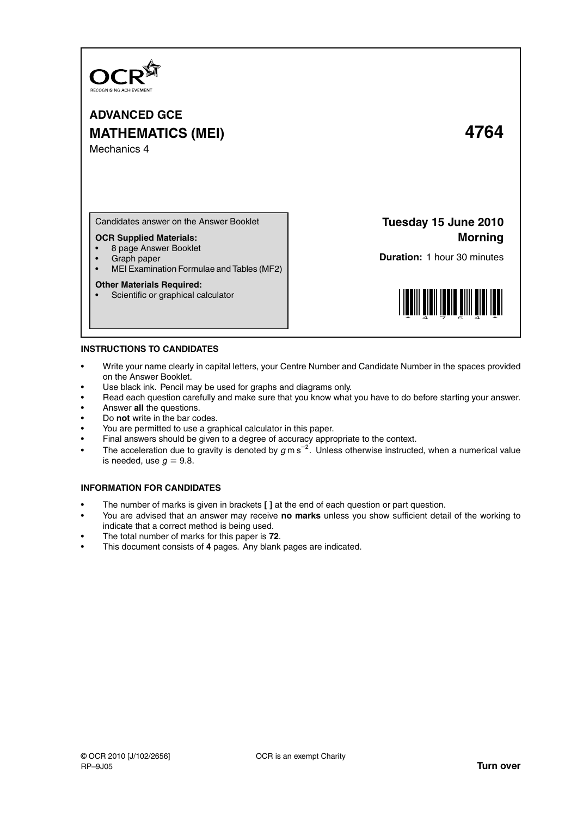

**ADVANCED GCE MATHEMATICS (MEI) 4764** Mechanics 4

Candidates answer on the Answer Booklet

## **OCR Supplied Materials:**

- 8 page Answer Booklet
- Graph paper<br>• MELExamina
- MEI Examination Formulae and Tables (MF2)

#### **Other Materials Required:**

• Scientific or graphical calculator

**Tuesday 15 June 2010 Morning**

**Duration:** 1 hour 30 minutes



## **INSTRUCTIONS TO CANDIDATES**

- Write your name clearly in capital letters, your Centre Number and Candidate Number in the spaces provided on the Answer Booklet.
- Use black ink. Pencil may be used for graphs and diagrams only.
- Read each question carefully and make sure that you know what you have to do before starting your answer.
- Answer **all** the questions.
- Do **not** write in the bar codes.
- You are permitted to use a graphical calculator in this paper.
- Final answers should be given to a degree of accuracy appropriate to the context.
- The acceleration due to gravity is denoted by g m s<sup>-2</sup>. Unless otherwise instructed, when a numerical value is needed, use  $g = 9.8$ .

## **INFORMATION FOR CANDIDATES**

- The number of marks is given in brackets **[ ]** at the end of each question or part question.
- You are advised that an answer may receive **no marks** unless you show sufficient detail of the working to indicate that a correct method is being used.
- The total number of marks for this paper is **72**.
- This document consists of **4** pages. Any blank pages are indicated.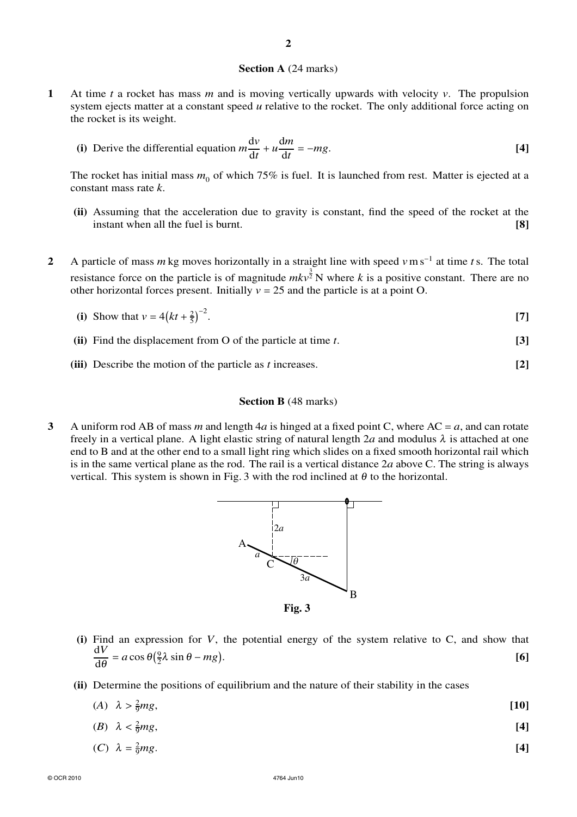#### **Section A** (24 marks)

- **1** At time *t* a rocket has mass *m* and is moving vertically upwards with velocity *v*. The propulsion system ejects matter at a constant speed *u* relative to the rocket. The only additional force acting on the rocket is its weight.
	- **(i)** Derive the differential equation  $m \frac{dv}{dt}$  $\frac{dv}{dt} + u \frac{dm}{dt}$  $\frac{dm}{dt} = -mg.$  **[4]**

The rocket has initial mass  $m_0$  of which 75% is fuel. It is launched from rest. Matter is ejected at a constant mass rate *k*.

- **(ii)** Assuming that the acceleration due to gravity is constant, find the speed of the rocket at the instant when all the fuel is burnt. **[8]**
- **2** A particle of mass *m* kg moves horizontally in a straight line with speed *v*m s<sup>−</sup><sup>1</sup> at time *t*s. The total resistance force on the particle is of magnitude  $mkv^{\frac{3}{2}}$  N where *k* is a positive constant. There are no other horizontal forces present. Initially  $v = 25$  and the particle is at a point O.
	- (i) Show that  $v = 4(kt + \frac{2}{5})^{-2}$ . **[7]**
	- **(ii)** Find the displacement from O of the particle at time *t*. **[3]**
	- **(iii)** Describe the motion of the particle as *t* increases. **[2]**

### **Section B** (48 marks)

**3** A uniform rod AB of mass *m* and length 4*a* is hinged at a fixed point C, where AC = *a*, and can rotate freely in a vertical plane. A light elastic string of natural length 2*a* and modulus  $\lambda$  is attached at one end to B and at the other end to a small light ring which slides on a fixed smooth horizontal rail which is in the same vertical plane as the rod. The rail is a vertical distance 2*a* above C. The string is always vertical. This system is shown in Fig. 3 with the rod inclined at  $\theta$  to the horizontal.



**(i)** Find an expression for *V*, the potential energy of the system relative to C, and show that d*V*  $\frac{d\mathbf{v}}{d\theta} = a \cos \theta \left(\frac{9}{2}\lambda \sin \theta - mg\right).$  [6]

**(ii)** Determine the positions of equilibrium and the nature of their stability in the cases

| (A) $\lambda > \frac{2}{9}mg$ , | $[10]$ |
|---------------------------------|--------|
| (B) $\lambda < \frac{2}{9}mg$ , | [4]    |
| (C) $\lambda = \frac{2}{9}mg$ . | [4]    |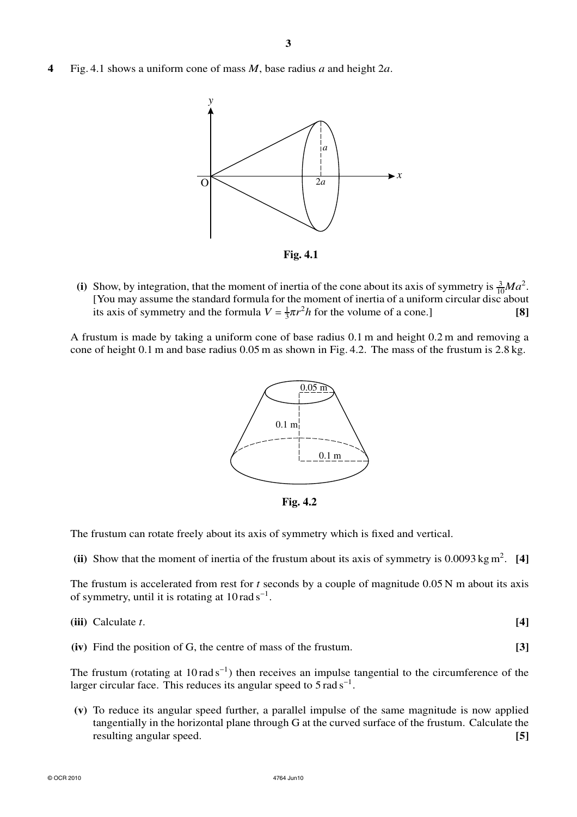**4** Fig. 4.1 shows a uniform cone of mass *M*, base radius *a* and height 2*a*.



(i) Show, by integration, that the moment of inertia of the cone about its axis of symmetry is  $\frac{3}{10}Ma^2$ . [You may assume the standard formula for the moment of inertia of a uniform circular disc about its axis of symmetry and the formula  $V = \frac{1}{3}\pi r^2 h$  for the volume of a cone.] [8]

A frustum is made by taking a uniform cone of base radius 0.1 m and height 0.2 m and removing a cone of height 0.1 m and base radius 0.05 m as shown in Fig. 4.2. The mass of the frustum is 2.8 kg.



**Fig. 4.2**

The frustum can rotate freely about its axis of symmetry which is fixed and vertical.

(ii) Show that the moment of inertia of the frustum about its axis of symmetry is  $0.0093 \text{ kg m}^2$ . [4]

The frustum is accelerated from rest for *t* seconds by a couple of magnitude 0.05 N m about its axis of symmetry, until it is rotating at  $10 \text{ rad s}^{-1}$ .

**(iv)** Find the position of G, the centre of mass of the frustum. **[3]**

The frustum (rotating at  $10 \text{ rad s}^{-1}$ ) then receives an impulse tangential to the circumference of the larger circular face. This reduces its angular speed to  $5 \text{ rad s}^{-1}$ .

**(v)** To reduce its angular speed further, a parallel impulse of the same magnitude is now applied tangentially in the horizontal plane through G at the curved surface of the frustum. Calculate the resulting angular speed. **[5]**